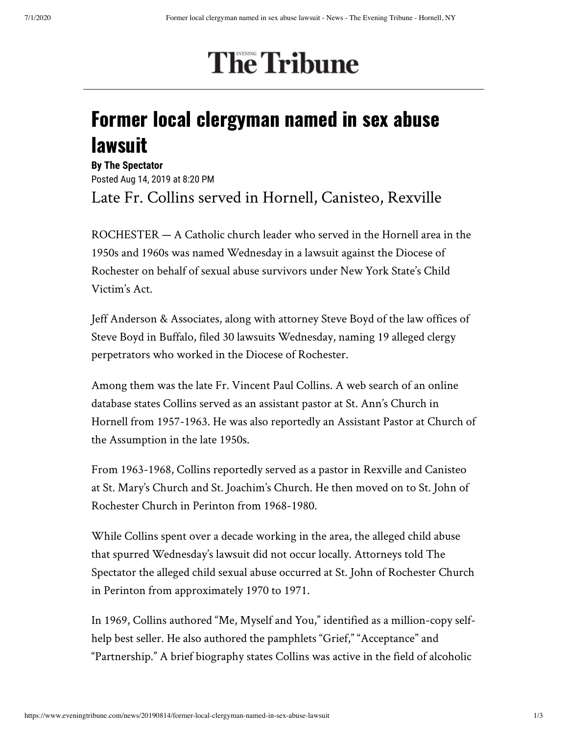## **The Tribune**

## Former local clergyman named in sex abuse lawsuit

**By The Spectator** Posted Aug 14, 2019 at 8:20 PM Late Fr. Collins served in Hornell, Canisteo, Rexville

ROCHESTER — A Catholic church leader who served in the Hornell area in the 1950s and 1960s was named Wednesday in a lawsuit against the Diocese of Rochester on behalf of sexual abuse survivors under New York State's Child Victim's Act.

Jeff Anderson & Associates, along with attorney Steve Boyd of the law offices of Steve Boyd in Buffalo, filed 30 lawsuits Wednesday, naming 19 alleged clergy perpetrators who worked in the Diocese of Rochester.

Among them was the late Fr. Vincent Paul Collins. A web search of an online database states Collins served as an assistant pastor at St. Ann's Church in Hornell from 1957-1963. He was also reportedly an Assistant Pastor at Church of the Assumption in the late 1950s.

From 1963-1968, Collins reportedly served as a pastor in Rexville and Canisteo at St. Mary's Church and St. Joachim's Church. He then moved on to St. John of Rochester Church in Perinton from 1968-1980.

While Collins spent over a decade working in the area, the alleged child abuse that spurred Wednesday's lawsuit did not occur locally. Attorneys told The Spectator the alleged child sexual abuse occurred at St. John of Rochester Church in Perinton from approximately 1970 to 1971.

In 1969, Collins authored "Me, Myself and You," identified as a million-copy selfhelp best seller. He also authored the pamphlets "Grief," "Acceptance" and "Partnership." A brief biography states Collins was active in the field of alcoholic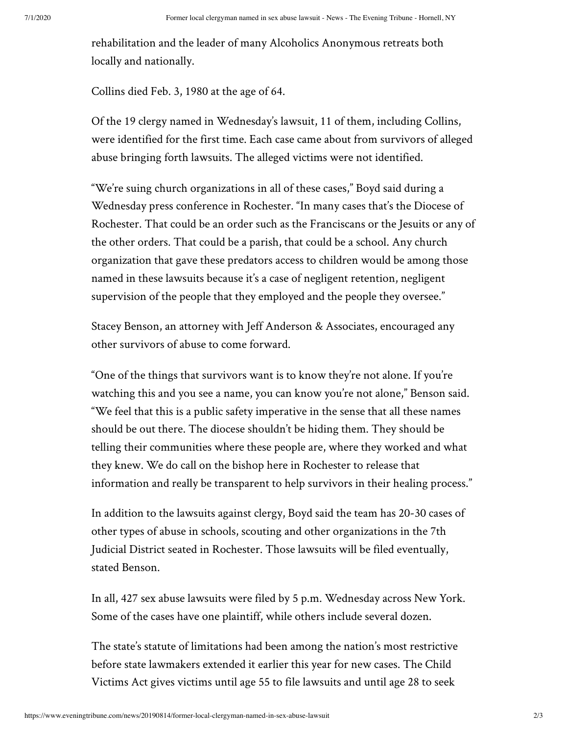rehabilitation and the leader of many Alcoholics Anonymous retreats both locally and nationally.

Collins died Feb. 3, 1980 at the age of 64.

Of the 19 clergy named in Wednesday's lawsuit, 11 of them, including Collins, were identified for the first time. Each case came about from survivors of alleged abuse bringing forth lawsuits. The alleged victims were not identified.

"We're suing church organizations in all of these cases," Boyd said during a Wednesday press conference in Rochester. "In many cases that's the Diocese of Rochester. That could be an order such as the Franciscans or the Jesuits or any of the other orders. That could be a parish, that could be a school. Any church organization that gave these predators access to children would be among those named in these lawsuits because it's a case of negligent retention, negligent supervision of the people that they employed and the people they oversee."

Stacey Benson, an attorney with Jeff Anderson & Associates, encouraged any other survivors of abuse to come forward.

"One of the things that survivors want is to know they're not alone. If you're watching this and you see a name, you can know you're not alone," Benson said. "We feel that this is a public safety imperative in the sense that all these names should be out there. The diocese shouldn't be hiding them. They should be telling their communities where these people are, where they worked and what they knew. We do call on the bishop here in Rochester to release that information and really be transparent to help survivors in their healing process."

In addition to the lawsuits against clergy, Boyd said the team has 20-30 cases of other types of abuse in schools, scouting and other organizations in the 7th Judicial District seated in Rochester. Those lawsuits will be filed eventually, stated Benson.

In all, 427 sex abuse lawsuits were filed by 5 p.m. Wednesday across New York. Some of the cases have one plaintiff, while others include several dozen.

The state's statute of limitations had been among the nation's most restrictive before state lawmakers extended it earlier this year for new cases. The Child Victims Act gives victims until age 55 to file lawsuits and until age 28 to seek